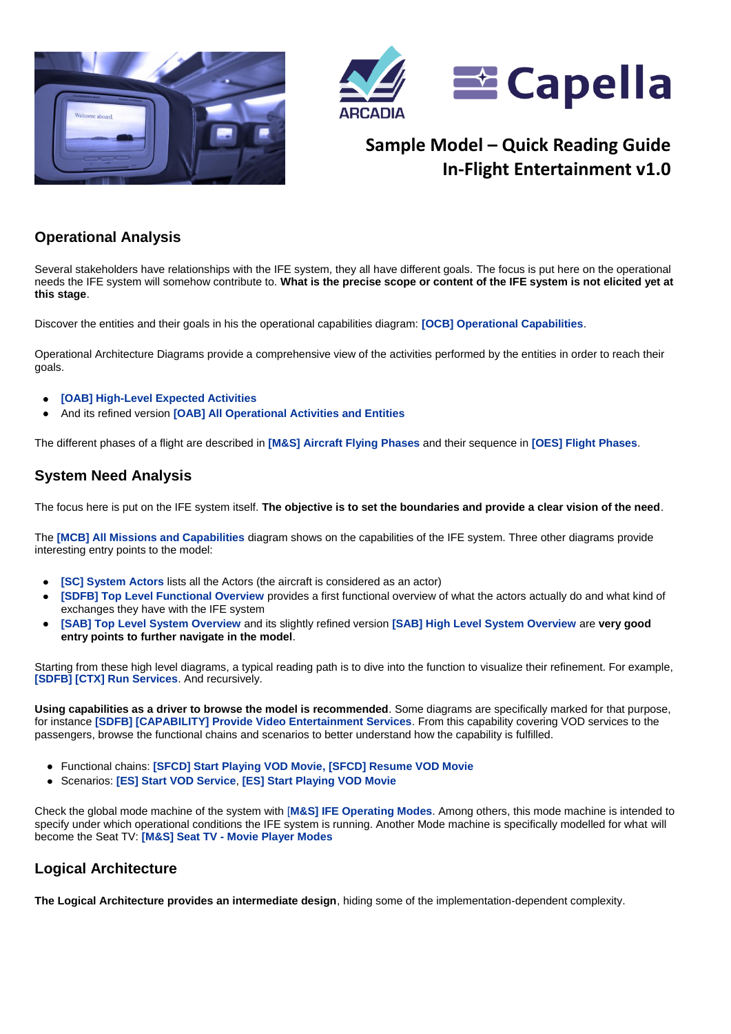



# **Sample Model – Quick Reading Guide In-Flight Entertainment v1.0**

### **Operational Analysis**

Several stakeholders have relationships with the IFE system, they all have different goals. The focus is put here on the operational needs the IFE system will somehow contribute to. **What is the precise scope or content of the IFE system is not elicited yet at this stage**.

Discover the entities and their goals in his the operational capabilities diagram: **[OCB] Operational Capabilities**.

Operational Architecture Diagrams provide a comprehensive view of the activities performed by the entities in order to reach their goals.

- **[OAB] High-Level Expected Activities**  $\bullet$
- And its refined version **[OAB] All Operational Activities and Entities**

The different phases of a flight are described in **[M&S] Aircraft Flying Phases** and their sequence in **[OES] Flight Phases**.

#### **System Need Analysis**

The focus here is put on the IFE system itself. **The objective is to set the boundaries and provide a clear vision of the need**.

The **[MCB] All Missions and Capabilities** diagram shows on the capabilities of the IFE system. Three other diagrams provide interesting entry points to the model:

- **[SC] System Actors** lists all the Actors (the aircraft is considered as an actor)
- **[SDFB] Top Level Functional Overview** provides a first functional overview of what the actors actually do and what kind of exchanges they have with the IFE system
- **[SAB] Top Level System Overview** and its slightly refined version **[SAB] High Level System Overview** are **very good entry points to further navigate in the model**.

Starting from these high level diagrams, a typical reading path is to dive into the function to visualize their refinement. For example, **[\[SDFB\] \[CTX\] Run Services](hlink://_Z-lO8LC1EeSAOqSI-4duBg/)**. And recursively.

**Using capabilities as a driver to browse the model is recommended**. Some diagrams are specifically marked for that purpose, for instance **[SDFB] [CAPABILITY] Provide Video Entertainment Services**. From this capability covering VOD services to the passengers, browse the functional chains and scenarios to better understand how the capability is fulfilled.

- Functional chains: **[SFCD] Start Playing VOD Movie, [SFCD] Resume VOD Movie**
- Scenarios: **[ES] Start VOD Service**, **[ES] Start Playing VOD Movie**

Check the global mode machine of the system with [**M&S] IFE Operating Modes**. Among others, this mode machine is intended to specify under which operational conditions the IFE system is running. Another Mode machine is specifically modelled for what will become the Seat TV: **[M&S] Seat TV - Movie Player Modes**

#### **Logical Architecture**

**The Logical Architecture provides an intermediate design**, hiding some of the implementation-dependent complexity.